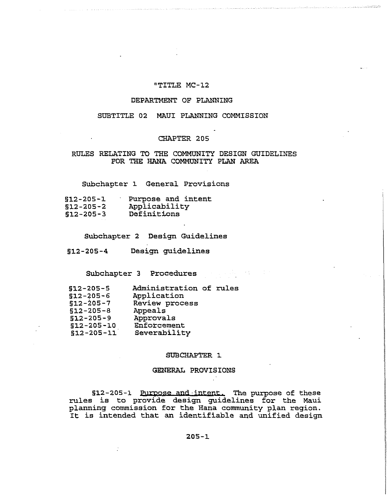# "TITLE MC-12

### DEPARTMENT OF PLANNING

## SUBTITLE 02 MAUI PLANNING COMMISSION

## CHAPTER 205

# RULES RELATING TO THE COMMUNITY DESIGN GUIDELINES FOR THE HANA COMMUNITY PLAN AREA

Subchapter 1 General Provisions

| $$12-205-1$     | Purpose and intent |
|-----------------|--------------------|
| $$12 - 205 - 2$ | Applicability      |
| $$12 - 205 - 3$ | Definitions        |

Subchapter 2 Design Guidelines

§1.2-205-4 Design guidelines

Subchapter 3 Procedures and the state of the state of the state of the state of the state of the state of the state of the state of the state of the state of the state of the state of the state of the state of the state of

| $$12 - 205 - 5$  | Administration of rules |  |
|------------------|-------------------------|--|
| $$12 - 205 - 6$  | Application             |  |
| $$12 - 205 - 7$  | Review process          |  |
| $$12 - 205 - 8$  | Appeals                 |  |
| $$12 - 205 - 9$  | Approvals               |  |
| $$12 - 205 - 10$ | Enforcement             |  |
| $$12 - 205 - 11$ | Severability            |  |

#### SUBCHAPTER 1.

## GENERAL PROVISIONS

§12-205-1 Purpose and intent. The purpose of these rules is to provide design guidelines for the Maui planning commission for the Hana community plan region. planning commission for the hand community pian region.<br>It is intended that an identifiable and unified design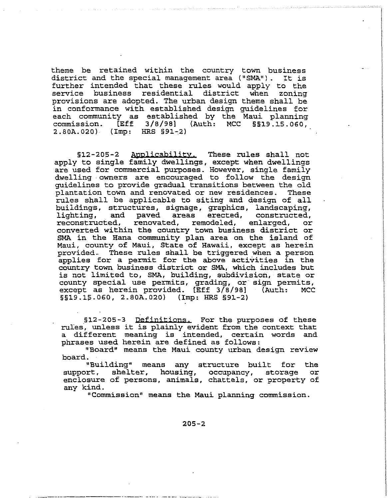theme be retained within the country town business<br>district and the special management area ("SMA"). It is district and the special management area ("SMA"). further intended that these rules would apply to the service business residential district when zoning provisions are adopted. The urban design theme shall be in conformance with established design guidelines for each community as established by the Maui planning<br>commission. [Eff 3/8/98] (Auth: MCC §§19.15.060, 3/8/98] (Auth:  $2.80A.020$  (Imp: HRS  $$91-2$ )

§l2-20S-2 Applicability. These rules shall not apply to single family dwellings, except when dwellings are used for commercial purposes. However, single family dwelling . owners are encouraged to follow the design guidelines to provide gradual transitions between the old plantation town and renovated or new residences. These rules shall be applicable to siting and design of all buildings, structures, signage, graphics, landscaping, and paved areas erected, constructed,<br>ted, renovated, remodeled, enlarged, or reconstructed, converted within the country town business district or SMA in the Hana community plan area on the island of Maui, county of Maui, State of Hawaii, except as herein provided.. These rules shall be triggered when a person applies for a permit for the above activities in the country town business district or SMA, which includes but is not limited to, SMA, building, subdivision, state or county special use permits, grading, or sign permits, except as herein provided. [Eff 3/8/98] §§19.15.060, 2.80A.020) (Imp: HRS §91-2)

§12-205-3 Definitions. For the purposes of these rules', unless it is plainly evident from the context that a different meaning is intended, certain words and phrases used herein are defined as follows:

"Board" means the Maui county urban design review board.

"Building" means any structure built for the support, shelter, housing, occupancy, storage enclosure of persons, animals, chattels, or property of any kind.

"Commission" means the Maui planning commission.

205-2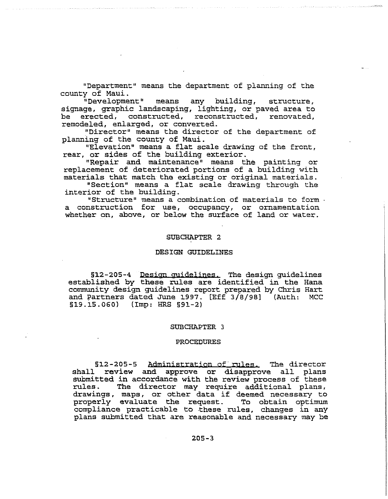"Department" means the department of planning of the county of Maui.

"Development" means any building, structure, signage, graphic landscaping, lighting, or paved area to<br>be erected, constructed, reconstructed, renovated, erected, constructed, reconstructed, renovated, remodeled, enlarged, or converted.

"Director" means the director of the department of planning of the county of Maui.

"Elevation" means a flat scale drawing of the front, rear, or sides of the building exterior.

"Repair and maintenance" means the painting or replacement of deteriorated portions of a building with materials that match the existing or original materials.

"Section" means a flat scale drawing through the interior of the building.

"Structure" means a combination of materials to form a construction for use, occupancy, or ornamentation whether on, above, or below the surface of land or water.

### SUBCHAPTER 2

#### DESIGN GUIDELINES

§12-205-4 Design guidelines. The design guidelines established by these rules are identified in the Hana community design guidelines report prepared by Chris Hart and Partners dated June 1997.  $[Eff 3/8/98]$  (Auth: U9.15.060) (Imp: HRS §91-2)

#### SUBCHAPTER 3

#### PROCEDURES

§12-205-5 Administration of rules. The director shall review and approve or disapprove all plans submitted in accordance with the review process of these<br>rules. The director may require additional plans, The director may require additional plans, drawings, maps, or other data if deemed necessary to properly evaluate the request. To obtain optimum compliance practicable to ·these rules, changes in any plans submitted that are reasonable and necessary may be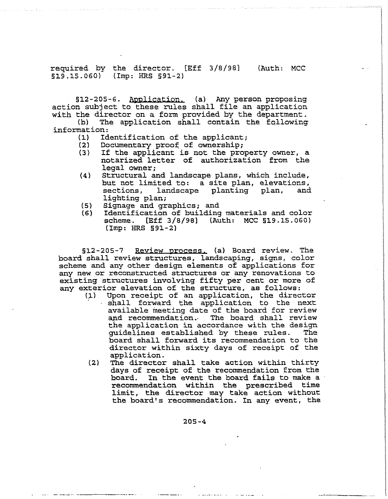required by the director. [Eff 3/8/98] (Auth: MCC  $$19.15.060$  (Imp: HRS  $$91-2$ )

§12-205-6. Application. (a) Any person proposing action subject to these rules shall file an application

with the director on a form provided by the department.<br>(b) The application shall contain the following The application shall contain the following information:

- (1) Identification of the applicant;<br>(2) Documentary proof of ownership;
- (2) Documentary proof of ownership;<br>(3) If the applicant is not the pro
- If the applicant is not the property owner, a notarized letter of authorization from the legal owner:
- (4) Structural and landscape plans, which include, but not limited to: a site plan, elevations,<br>sections, landscape planting plan, and landscape planting plan, lighting plan;
- (5) Signage and graphics; and
- Identification of building materials and color  $scheme.$  [Eff  $3/8/98$ ] (Auth: MCC  $$19.15.060$ )  $(Imp: HRS S91-2)$

§12-205-7 Review process. (a) Board review. The board shall review structures, landscaping, signs, color scheme and any other design elements of applications for any new or reconstructed structures or any renovations to existing structures involving fifty per cent or more of any exterior elevation of the structure, as follows:<br>(1) Upon receipt of an application, the direc

- Upon receipt of an application, the director shall forward the application to the next available meeting date of the board for review and recommendation. The board shall review the application in accordance with the design<br>quidelines established by these rules. The guidelines established by these rules. board shall forward its recommendation to the director within sixty days of receipt of the application.
- (2) The director shall take action within thirty days of receipt of the recommendation from the<br>board. In the event the board fails to make a In the event the board fails to make a recommendation within the prescribed time limit, the director may take action without the board's recommendation. In any event, the

205-4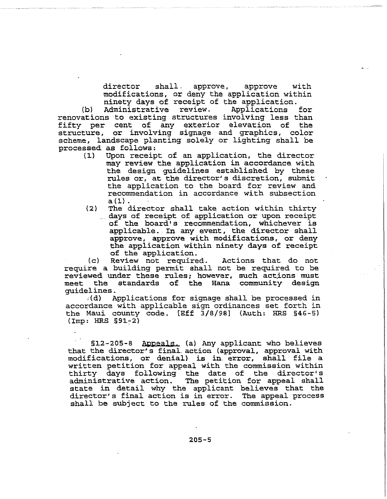director shall. approve, approve with modifications, or deny the application within ninety days of receipt of the application.<br>Administrative review. Applications

(b) Administrative review. Applications for renovations to existing structures involving less than fifty per cent of any exterior elevation of the structure, or involving signage and graphics, color scheme, landscape planting solely or lighting shall be processed as follows:<br>(1) Upon receip

- Upon receipt of an application, the director may review the application in accordance with the design guidelines established by these rules or, at the director's discretion, submit the application to the board for review and recommendation in accordance with subsection<br>a(1).
- $(2)$  . The director shall take action within thirty days of receipt of application or upon receipt of the board's recommendation, whichever is applicable. In any event, the director shall approve, approve with modifications, or deny the application within ninety days of receipt of the application.<br>Review not required.

(c) Review not required. Actions that do not require a building permit shall not be required to be reviewed under these rules; however, such actions must meet the standards of the Hana community design guidelines.<br>(d) A

Applications for signage shall be processed in accordance with applicable sign ordinances set forth in the Maui county code. [Eff 3/8/98] (Auth: FIRS §46-5)  $(Imp: HRS S91-2)$ 

§12-205-8 Appeals. (a) Any applicant who believes that the director's final. action (approval, approval with modifications, or denial) is in error, shall file a written petition for appeal with the commission within thirty days following the date of the director's The petition for appeal shall state in detail why the applicant believes that the director's final action is in error. The appeal process shall be subject to the rules of the commission.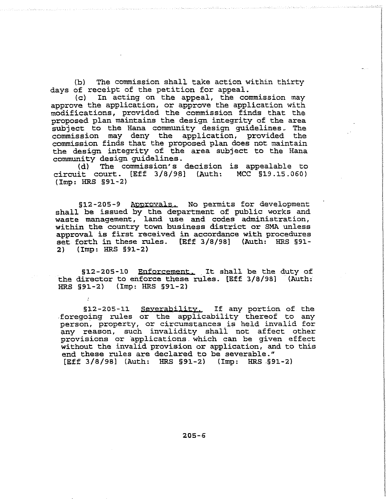(b) The commission shall take action within thirty days of receipt of the petition for appeal.<br>(c) In acting on the appeal, the com

In acting on the appeal, the commission may approve the application, or approve the application with modifications, provided the commission finds that the proposed plan maintains the design integrity of the area subj ect to the Hana community design guidelines. The commission may deny the application, provided the commission finds that the proposed plan does not maintain the design integrity of the area subject to the Hana community design guidelines.<br>(d) The commission's

The commission's decision is appealable to circuit court.  $[Eff 3/8/98]$  (Auth: MCC  $$19.15.060)$ (Imp: HRS §91-2)

§12-205-9 Approyals. No permits for development shall be issued by the department of public works and waste management, land use and codes administration, within the country town business district or SMA unless approval is first received in accordance with procedures set forth in these rules. [Eff *3/8/98]* (Auth: HRS §91- 2) (Imp: HRS §91-2)

§12-205-10 Enforcement. It shall be the duty of the director to enforce these rules. [Eff 3/8/98] (Auth: HRS §91-2) (Imp: HRS §91-2)

§l2-205-11 Severability. If any portion of the .foregoing rules or the applicability thereof to any person, property, or circumstances is held invalid for any reason, such invalidity shall not affect other provisions or applications which can be given effect without the invalid provision or application, and to this end these rules are declared to be severable." [Eff 3/8/98] (Auth: HRS §91-2) (Imp: HRS .§91-2)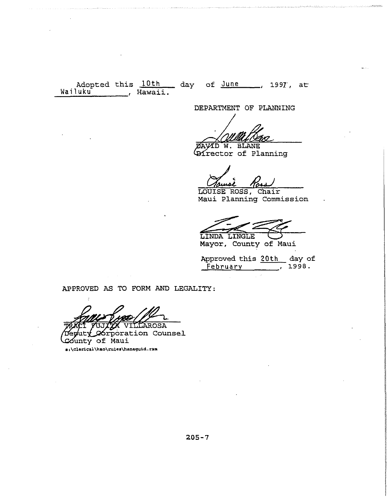Adopted this  $\frac{10 \text{ th}}{2}$  day of  $\frac{\text{June}}{2}$ , 1997, at Wailuku , Hawaii.

DEPARTMENT OF PLANNING

*BAVID W. BLANE* Director of Planning

LOUISE ROSS, Chair Maui Planning Commission

LINDA LINGLE

Mayor, County of Maui

Approved this 20th day of<br>February 1998.  $\sqrt{1998}$ .

APPROVED AS TO FORM AND LEGALITY:

AROSA poration Counsel *Có*unty of Maui

s:\clerical\kao\rules\hanaguid.ram